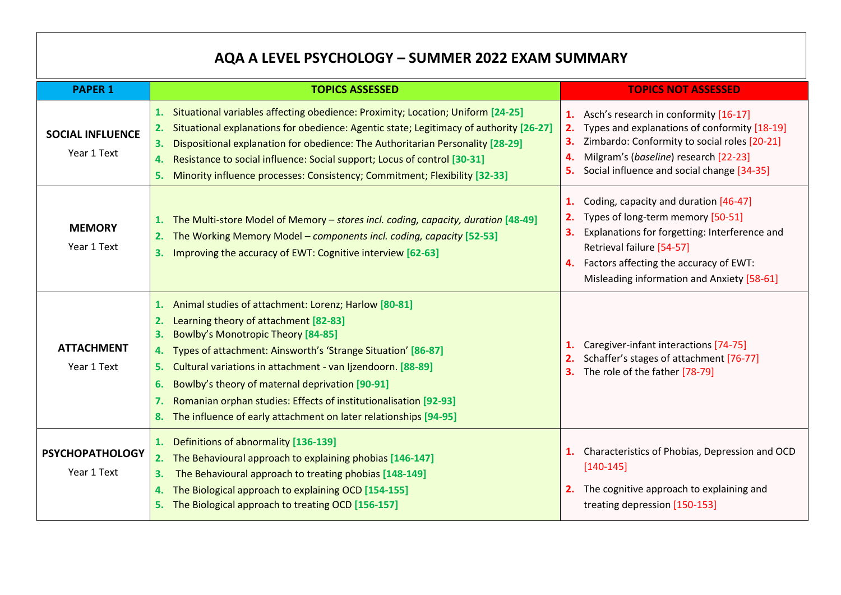## **AQA A LEVEL PSYCHOLOGY – SUMMER 2022 EXAM SUMMARY**

| <b>PAPER 1</b>                         | <b>TOPICS ASSESSED</b>                                                                                                                                                                                                                                                                                                                                                                                                                                                                                   | <b>TOPICS NOT ASSESSED</b>                                                                                                                                                                                                                                   |
|----------------------------------------|----------------------------------------------------------------------------------------------------------------------------------------------------------------------------------------------------------------------------------------------------------------------------------------------------------------------------------------------------------------------------------------------------------------------------------------------------------------------------------------------------------|--------------------------------------------------------------------------------------------------------------------------------------------------------------------------------------------------------------------------------------------------------------|
| <b>SOCIAL INFLUENCE</b><br>Year 1 Text | Situational variables affecting obedience: Proximity; Location; Uniform [24-25]<br>1.<br>Situational explanations for obedience: Agentic state; Legitimacy of authority [26-27]<br>2.<br>Dispositional explanation for obedience: The Authoritarian Personality [28-29]<br>3.<br>Resistance to social influence: Social support; Locus of control [30-31]<br>Minority influence processes: Consistency; Commitment; Flexibility [32-33]<br>5.                                                            | Asch's research in conformity [16-17]<br>Types and explanations of conformity [18-19]<br>2.<br>Zimbardo: Conformity to social roles [20-21]<br>Milgram's (baseline) research [22-23]<br>4.<br>Social influence and social change [34-35]                     |
| <b>MEMORY</b><br>Year 1 Text           | The Multi-store Model of Memory - stores incl. coding, capacity, duration [48-49]<br>1.<br>The Working Memory Model - components incl. coding, capacity [52-53]<br>Improving the accuracy of EWT: Cognitive interview [62-63]<br>3.                                                                                                                                                                                                                                                                      | Coding, capacity and duration [46-47]<br>1.<br>Types of long-term memory [50-51]<br>Explanations for forgetting: Interference and<br>З.<br>Retrieval failure [54-57]<br>Factors affecting the accuracy of EWT:<br>Misleading information and Anxiety [58-61] |
| <b>ATTACHMENT</b><br>Year 1 Text       | 1. Animal studies of attachment: Lorenz; Harlow [80-81]<br>Learning theory of attachment [82-83]<br>2.<br><b>Bowlby's Monotropic Theory [84-85]</b><br>З.<br>4. Types of attachment: Ainsworth's 'Strange Situation' [86-87]<br>Cultural variations in attachment - van Ijzendoorn. [88-89]<br>5.<br>Bowlby's theory of maternal deprivation [90-91]<br>6.<br>Romanian orphan studies: Effects of institutionalisation [92-93]<br>The influence of early attachment on later relationships [94-95]<br>8. | Caregiver-infant interactions [74-75]<br>Schaffer's stages of attachment [76-77]<br>The role of the father [78-79]                                                                                                                                           |
| <b>PSYCHOPATHOLOGY</b><br>Year 1 Text  | 1. Definitions of abnormality [136-139]<br>2. The Behavioural approach to explaining phobias [146-147]<br>The Behavioural approach to treating phobias [148-149]<br>3.<br>The Biological approach to explaining OCD [154-155]<br>4.<br>5. The Biological approach to treating OCD [156-157]                                                                                                                                                                                                              | Characteristics of Phobias, Depression and OCD<br>1.<br>$[140-145]$<br>The cognitive approach to explaining and<br>2.<br>treating depression [150-153]                                                                                                       |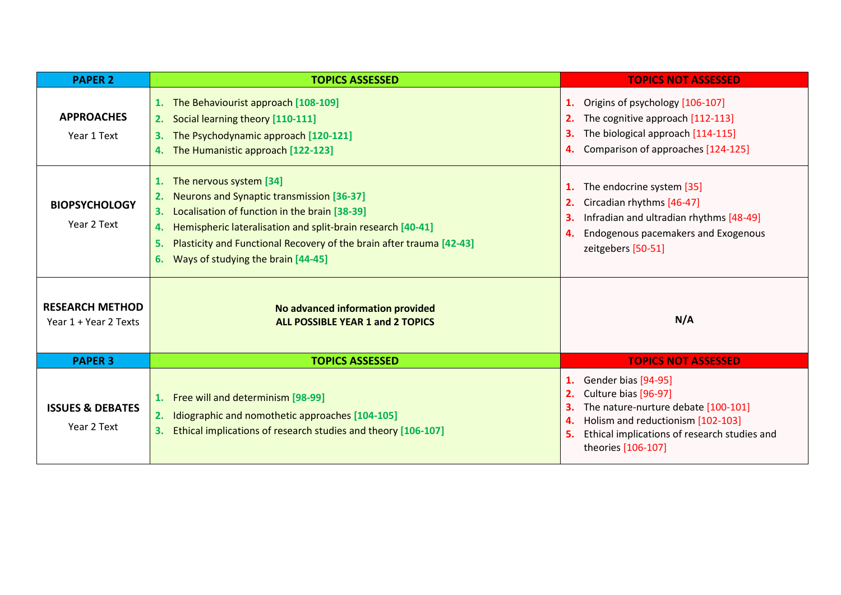| <b>PAPER 2</b>                                  | <b>TOPICS ASSESSED</b>                                                                                                                                                                                                                                                                                                              | <b>TOPICS NOT ASSESSED</b>                                                                                                                                                                                            |
|-------------------------------------------------|-------------------------------------------------------------------------------------------------------------------------------------------------------------------------------------------------------------------------------------------------------------------------------------------------------------------------------------|-----------------------------------------------------------------------------------------------------------------------------------------------------------------------------------------------------------------------|
| <b>APPROACHES</b><br>Year 1 Text                | 1. The Behaviourist approach [108-109]<br>2. Social learning theory [110-111]<br>The Psychodynamic approach [120-121]<br>3.<br>4. The Humanistic approach [122-123]                                                                                                                                                                 | Origins of psychology [106-107]<br>1.<br>The cognitive approach [112-113]<br>The biological approach [114-115]<br>3.<br>Comparison of approaches [124-125]<br>4.                                                      |
| <b>BIOPSYCHOLOGY</b><br>Year 2 Text             | 1. The nervous system [34]<br>Neurons and Synaptic transmission [36-37]<br>2.<br>Localisation of function in the brain [38-39]<br>3.<br>Hemispheric lateralisation and split-brain research [40-41]<br>4.<br>Plasticity and Functional Recovery of the brain after trauma [42-43]<br>5.<br>Ways of studying the brain [44-45]<br>6. | The endocrine system [35]<br>1.<br>Circadian rhythms [46-47]<br>2.<br>Infradian and ultradian rhythms [48-49]<br>Endogenous pacemakers and Exogenous<br>4.<br>zeitgebers [50-51]                                      |
| <b>RESEARCH METHOD</b><br>Year 1 + Year 2 Texts | No advanced information provided<br><b>ALL POSSIBLE YEAR 1 and 2 TOPICS</b>                                                                                                                                                                                                                                                         | N/A                                                                                                                                                                                                                   |
| <b>PAPER 3</b>                                  | <b>TOPICS ASSESSED</b>                                                                                                                                                                                                                                                                                                              | <b>TOPICS NOT ASSESSED</b>                                                                                                                                                                                            |
| <b>ISSUES &amp; DEBATES</b><br>Year 2 Text      | 1. Free will and determinism [98-99]<br>Idiographic and nomothetic approaches [104-105]<br>2.<br>Ethical implications of research studies and theory [106-107]<br>3.                                                                                                                                                                | Gender bias [94-95]<br>1.<br>Culture bias [96-97]<br>2.<br>The nature-nurture debate [100-101]<br>З.<br>Holism and reductionism [102-103]<br>4.<br>Ethical implications of research studies and<br>theories [106-107] |